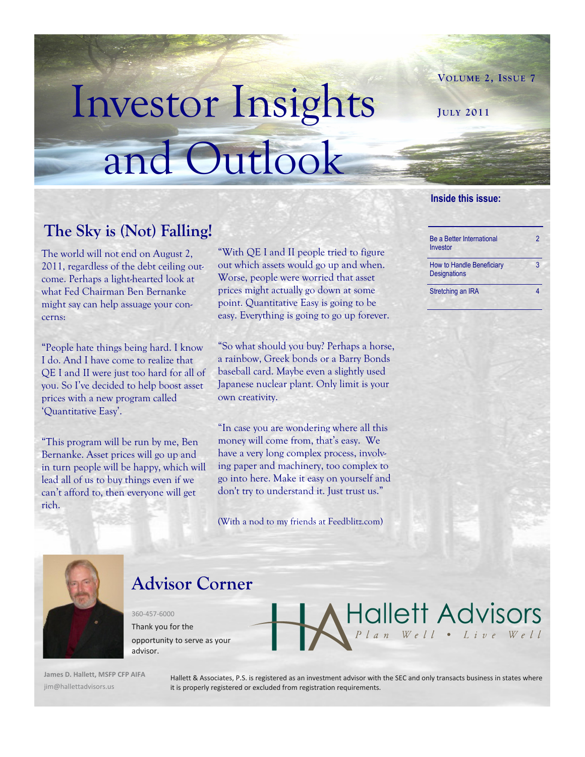# Investor Insights and Outlook

### **The Sky is (Not) Falling!**

The world will not end on August 2, 2011, regardless of the debt ceiling outcome. Perhaps a light-hearted look at what Fed Chairman Ben Bernanke might say can help assuage your concerns:

"People hate things being hard. I know I do. And I have come to realize that QE I and II were just too hard for all of you. So I"ve decided to help boost asset prices with a new program called "Quantitative Easy".

"This program will be run by me, Ben Bernanke. Asset prices will go up and in turn people will be happy, which will lead all of us to buy things even if we can"t afford to, then everyone will get rich.

"With QE I and II people tried to figure out which assets would go up and when. Worse, people were worried that asset prices might actually go down at some point. Quantitative Easy is going to be easy. Everything is going to go up forever.

"So what should you buy? Perhaps a horse, a rainbow, Greek bonds or a Barry Bonds baseball card. Maybe even a slightly used Japanese nuclear plant. Only limit is your own creativity.

"In case you are wondering where all this money will come from, that's easy. We have a very long complex process, involving paper and machinery, too complex to go into here. Make it easy on yourself and don't try to understand it. Just trust us."

(With a nod to my friends at Feedblitz.com)

#### **Inside this issue:**

**JULY 2011**

| <b>Be a Better International</b><br>Investor            | 2 |
|---------------------------------------------------------|---|
| <b>How to Handle Beneficiary</b><br><b>Designations</b> | 3 |

**VOLUME 2, ISSUE 7**

Stretching an IRA 4

Hallett Advisors



## **Advisor Corner**

360-457-6000 Thank you for the opportunity to serve as your advisor.

**James D. Hallett, MSFP CFP AIFA** jim@hallettadvisors.us

Hallett & Associates, P.S. is registered as an investment advisor with the SEC and only transacts business in states where it is properly registered or excluded from registration requirements.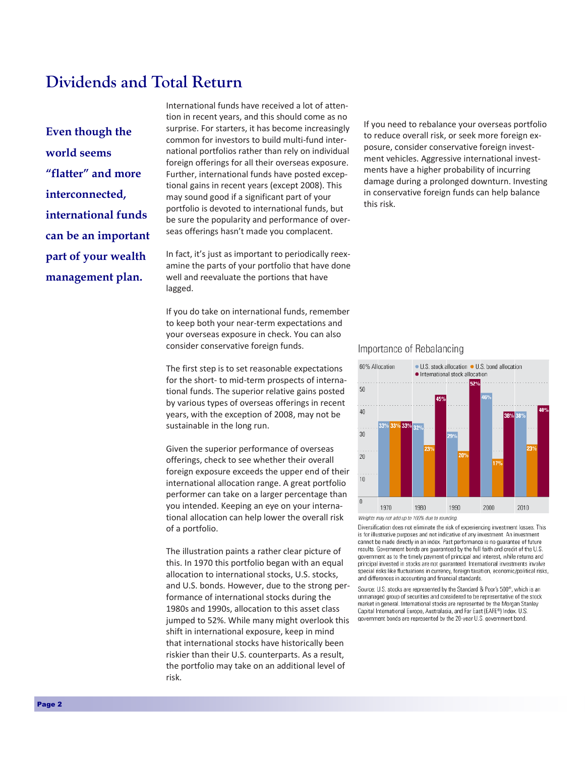#### **Dividends and Total Return**

**Even though the world seems "flatter" and more interconnected, international funds can be an important part of your wealth management plan.**

International funds have received a lot of attention in recent years, and this should come as no surprise. For starters, it has become increasingly common for investors to build multi-fund international portfolios rather than rely on individual foreign offerings for all their overseas exposure. Further, international funds have posted exceptional gains in recent years (except 2008). This may sound good if a significant part of your portfolio is devoted to international funds, but be sure the popularity and performance of overseas offerings hasn't made you complacent.

In fact, it's just as important to periodically reexamine the parts of your portfolio that have done well and reevaluate the portions that have lagged.

If you do take on international funds, remember to keep both your near-term expectations and your overseas exposure in check. You can also consider conservative foreign funds.

The first step is to set reasonable expectations for the short- to mid-term prospects of international funds. The superior relative gains posted by various types of overseas offerings in recent years, with the exception of 2008, may not be sustainable in the long run.

Given the superior performance of overseas offerings, check to see whether their overall foreign exposure exceeds the upper end of their international allocation range. A great portfolio performer can take on a larger percentage than you intended. Keeping an eye on your international allocation can help lower the overall risk of a portfolio.

The illustration paints a rather clear picture of this. In 1970 this portfolio began with an equal allocation to international stocks, U.S. stocks, and U.S. bonds. However, due to the strong performance of international stocks during the 1980s and 1990s, allocation to this asset class jumped to 52%. While many might overlook this shift in international exposure, keep in mind that international stocks have historically been riskier than their U.S. counterparts. As a result, the portfolio may take on an additional level of risk.

If you need to rebalance your overseas portfolio to reduce overall risk, or seek more foreign exposure, consider conservative foreign investment vehicles. Aggressive international investments have a higher probability of incurring damage during a prolonged downturn. Investing in conservative foreign funds can help balance this risk.

#### Importance of Rebalancing



Diversification does not eliminate the risk of experiencing investment losses. This is for illustrative purposes and not indicative of any investment. An investment cannot be made directly in an index. Past performance is no guarantee of future results. Government bonds are guaranteed by the full faith and credit of the U.S. government as to the timely payment of principal and interest, while returns and principal invested in stocks are not quaranteed. International investments involve special risks like fluctuations in currency, foreign taxation, economic/political risks, and differences in accounting and financial standards

Source: U.S. stocks are represented by the Standard & Poor's 500<sup>®</sup>, which is an unmanaged group of securities and considered to be representative of the stock market in general. International stocks are represented by the Morgan Stanley Capital International Europe, Australasia, and Far East (EAFE®) Index. U.S. government bonds are represented by the 20-year U.S. government bond.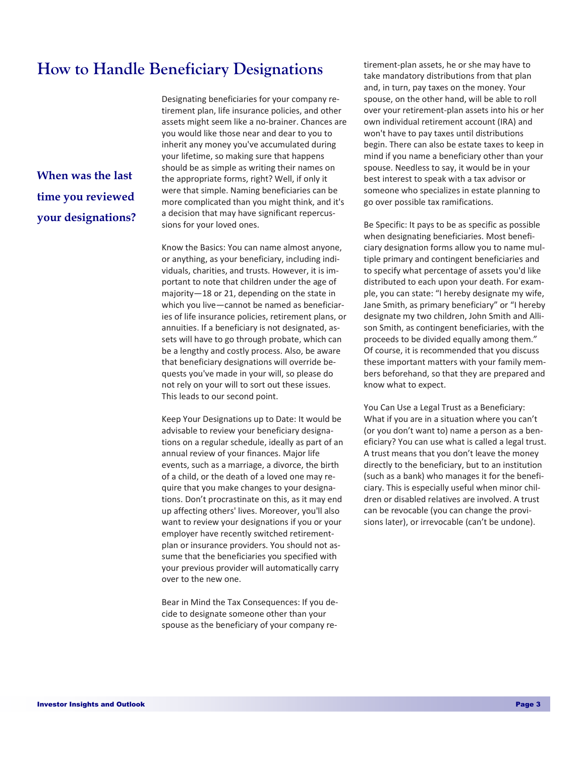#### **How to Handle Beneficiary Designations**

**When was the last time you reviewed your designations?** Designating beneficiaries for your company retirement plan, life insurance policies, and other assets might seem like a no-brainer. Chances are you would like those near and dear to you to inherit any money you've accumulated during your lifetime, so making sure that happens should be as simple as writing their names on the appropriate forms, right? Well, if only it were that simple. Naming beneficiaries can be more complicated than you might think, and it's a decision that may have significant repercussions for your loved ones.

Know the Basics: You can name almost anyone, or anything, as your beneficiary, including individuals, charities, and trusts. However, it is important to note that children under the age of majority—18 or 21, depending on the state in which you live—cannot be named as beneficiaries of life insurance policies, retirement plans, or annuities. If a beneficiary is not designated, assets will have to go through probate, which can be a lengthy and costly process. Also, be aware that beneficiary designations will override bequests you've made in your will, so please do not rely on your will to sort out these issues. This leads to our second point.

Keep Your Designations up to Date: It would be advisable to review your beneficiary designations on a regular schedule, ideally as part of an annual review of your finances. Major life events, such as a marriage, a divorce, the birth of a child, or the death of a loved one may require that you make changes to your designations. Don't procrastinate on this, as it may end up affecting others' lives. Moreover, you'll also want to review your designations if you or your employer have recently switched retirementplan or insurance providers. You should not assume that the beneficiaries you specified with your previous provider will automatically carry over to the new one.

Bear in Mind the Tax Consequences: If you decide to designate someone other than your spouse as the beneficiary of your company re-

tirement-plan assets, he or she may have to take mandatory distributions from that plan and, in turn, pay taxes on the money. Your spouse, on the other hand, will be able to roll over your retirement-plan assets into his or her own individual retirement account (IRA) and won't have to pay taxes until distributions begin. There can also be estate taxes to keep in mind if you name a beneficiary other than your spouse. Needless to say, it would be in your best interest to speak with a tax advisor or someone who specializes in estate planning to go over possible tax ramifications.

Be Specific: It pays to be as specific as possible when designating beneficiaries. Most beneficiary designation forms allow you to name multiple primary and contingent beneficiaries and to specify what percentage of assets you'd like distributed to each upon your death. For example, you can state: "I hereby designate my wife, Jane Smith, as primary beneficiary" or "I hereby designate my two children, John Smith and Allison Smith, as contingent beneficiaries, with the proceeds to be divided equally among them." Of course, it is recommended that you discuss these important matters with your family members beforehand, so that they are prepared and know what to expect.

You Can Use a Legal Trust as a Beneficiary: What if you are in a situation where you can't (or you don't want to) name a person as a beneficiary? You can use what is called a legal trust. A trust means that you don't leave the money directly to the beneficiary, but to an institution (such as a bank) who manages it for the beneficiary. This is especially useful when minor children or disabled relatives are involved. A trust can be revocable (you can change the provisions later), or irrevocable (can't be undone).